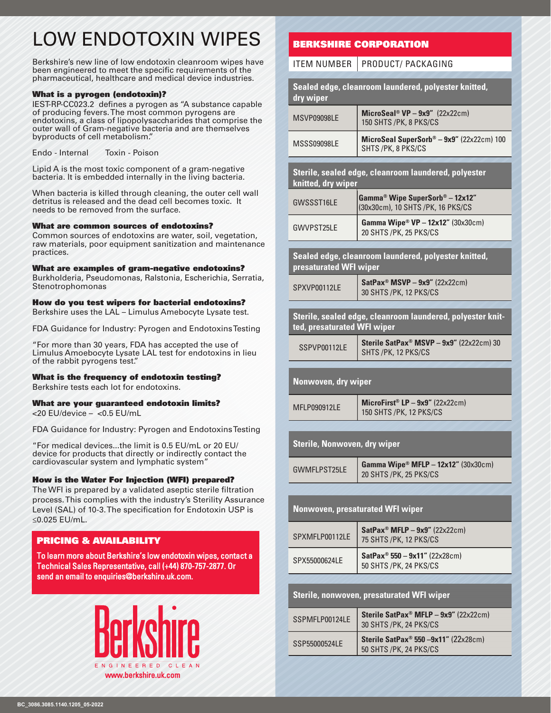# LOW ENDOTOXIN WIPES

Berkshire's new line of low endotoxin cleanroom wipes have been engineered to meet the specific requirements of the pharmaceutical, healthcare and medical device industries.

#### What is a pyrogen (endotoxin)?

IEST-RP-CC023.2 defines a pyrogen as "A substance capable of producing fevers. The most common pyrogens are endotoxins, a class of lipopolysaccharides that comprise the outer wall of Gram-negative bacteria and are themselves byproducts of cell metabolism."

Endo - Internal Toxin - Poison

Lipid A is the most toxic component of a gram-negative bacteria. It is embedded internally in the living bacteria.

When bacteria is killed through cleaning, the outer cell wall detritus is released and the dead cell becomes toxic. It needs to be removed from the surface.

#### What are common sources of endotoxins?

Common sources of endotoxins are water, soil, vegetation, raw materials, poor equipment sanitization and maintenance practices.

#### What are examples of gram-negative endotoxins?

Burkholderia, Pseudomonas, Ralstonia, Escherichia, Serratia, Stenotrophomonas

#### How do you test wipers for bacterial endotoxins?

Berkshire uses the LAL – Limulus Amebocyte Lysate test.

FDA Guidance for Industry: Pyrogen and Endotoxins Testing

"For more than 30 years, FDA has accepted the use of Limulus Amoebocyte Lysate LAL test for endotoxins in lieu of the rabbit pyrogens test."

#### What is the frequency of endotoxin testing?

Berkshire tests each lot for endotoxins.

#### What are your guaranteed endotoxin limits?

<20 EU/device – <0.5 EU/mL

FDA Guidance for Industry: Pyrogen and Endotoxins Testing

"For medical devices...the limit is 0.5 EU/mL or 20 EU/ device for products that directly or indirectly contact the cardiovascular system and lymphatic system"

#### How is the Water For Injection (WFI) prepared?

The WFI is prepared by a validated aseptic sterile filtration process. This complies with the industry's Sterility Assurance Level (SAL) of 10-3. The specification for Endotoxin USP is ≤0.025 EU/mL.

#### PRICING & AVAILABILITY

To learn more about Berkshire's low endotoxin wipes, contact a Technical Sales Representative, call (+44) 870-757-2877. Or send an email to enquiries@berkshire.uk.com.



## BERKSHIRE CORPORATION

### $I$ TEM NUMBER **PRODUCT/ PACKAGING**

|                                                                                           | IIENINUNIDEN   FNUDULI/ FALNAUINU                                                 |  |  |  |  |  |  |  |  |
|-------------------------------------------------------------------------------------------|-----------------------------------------------------------------------------------|--|--|--|--|--|--|--|--|
| dry wiper                                                                                 | Sealed edge, cleanroom laundered, polyester knitted,                              |  |  |  |  |  |  |  |  |
| MSVP09098LE                                                                               | $Microsoft^{\circ} VP - 9x9''$ (22x22cm)<br>150 SHTS / PK, 8 PKS/CS               |  |  |  |  |  |  |  |  |
| MSSS09098LE                                                                               | MicroSeal SuperSorb® - 9x9" (22x22cm) 100<br>SHTS/PK, 8 PKS/CS                    |  |  |  |  |  |  |  |  |
| knitted, dry wiper                                                                        | Sterile, sealed edge, cleanroom laundered, polyester                              |  |  |  |  |  |  |  |  |
| GWSSST16LE                                                                                | Gamma <sup>®</sup> Wipe SuperSorb® - 12x12"<br>(30x30cm), 10 SHTS / PK, 16 PKS/CS |  |  |  |  |  |  |  |  |
| GWVPST25LE                                                                                | Gamma Wipe <sup>®</sup> VP - 12x12" (30x30cm)<br>20 SHTS /PK, 25 PKS/CS           |  |  |  |  |  |  |  |  |
| presaturated WFI wiper                                                                    | Sealed edge, cleanroom laundered, polyester knitted,                              |  |  |  |  |  |  |  |  |
| SPXVP00112LE                                                                              | SatPax <sup>®</sup> MSVP - $9x9''$ (22x22cm)<br>30 SHTS / PK, 12 PKS/CS           |  |  |  |  |  |  |  |  |
| Sterile, sealed edge, cleanroom laundered, polyester knit-<br>ted, presaturated WFI wiper |                                                                                   |  |  |  |  |  |  |  |  |
| SSPVP00112LE                                                                              | Sterile SatPax® MSVP - 9x9" (22x22cm) 30<br>SHTS / PK, 12 PKS/CS                  |  |  |  |  |  |  |  |  |
| Nonwoven, dry wiper                                                                       |                                                                                   |  |  |  |  |  |  |  |  |
| MFLP090912LE                                                                              | MicroFirst® LP - $9x9''$ (22x22cm)<br>150 SHTS / PK, 12 PKS/CS                    |  |  |  |  |  |  |  |  |
| <b>Sterile, Nonwoven, dry wiper</b>                                                       |                                                                                   |  |  |  |  |  |  |  |  |
| <b>GWMFLPST25LE</b>                                                                       | Gamma Wipe <sup>®</sup> MFLP - 12x12" (30x30cm)<br>20 SHTS /PK, 25 PKS/CS         |  |  |  |  |  |  |  |  |
|                                                                                           |                                                                                   |  |  |  |  |  |  |  |  |
|                                                                                           | <b>Nonwoven, presaturated WFI wiper</b>                                           |  |  |  |  |  |  |  |  |
| SPXMFLP00112LE                                                                            | SatPax <sup>®</sup> MFLP - $9x9''$ (22x22cm)<br>75 SHTS / PK, 12 PKS/CS           |  |  |  |  |  |  |  |  |
| SPX55000624LE                                                                             | SatPax <sup>®</sup> 550 - 9x11" (22x28cm)<br>50 SHTS / PK, 24 PKS/CS              |  |  |  |  |  |  |  |  |
|                                                                                           |                                                                                   |  |  |  |  |  |  |  |  |
|                                                                                           | Sterile, nonwoven, presaturated WFI wiper                                         |  |  |  |  |  |  |  |  |
| SSPMFLP00124LE                                                                            | Sterile SatPax <sup>®</sup> MFLP $-$ 9x9" (22x22cm)<br>30 SHTS /PK, 24 PKS/CS     |  |  |  |  |  |  |  |  |
| SSP55000524LE                                                                             | Sterile SatPax <sup>®</sup> 550 -9x11" (22x28cm)<br>50 SHTS / PK, 24 PKS/CS       |  |  |  |  |  |  |  |  |